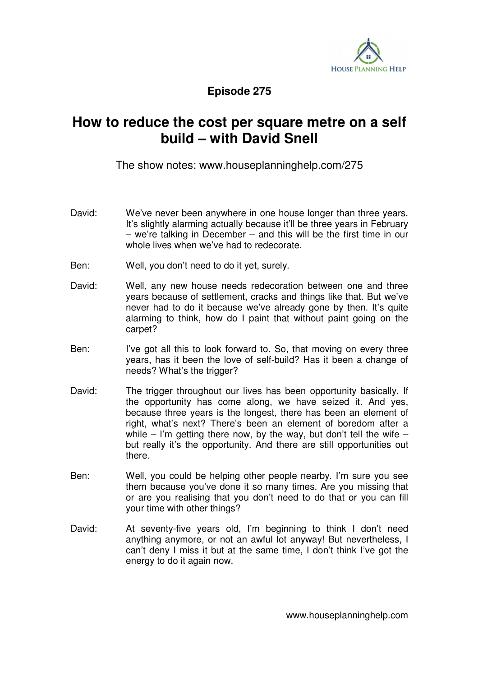

**Episode 275** 

## **How to reduce the cost per square metre on a self build – with David Snell**

The show notes: www.houseplanninghelp.com/275

- David: We've never been anywhere in one house longer than three years. It's slightly alarming actually because it'll be three years in February – we're talking in December – and this will be the first time in our whole lives when we've had to redecorate.
- Ben: Well, you don't need to do it yet, surely.
- David: Well, any new house needs redecoration between one and three years because of settlement, cracks and things like that. But we've never had to do it because we've already gone by then. It's quite alarming to think, how do I paint that without paint going on the carpet?
- Ben: I've got all this to look forward to. So, that moving on every three years, has it been the love of self-build? Has it been a change of needs? What's the trigger?
- David: The trigger throughout our lives has been opportunity basically. If the opportunity has come along, we have seized it. And yes, because three years is the longest, there has been an element of right, what's next? There's been an element of boredom after a while – I'm getting there now, by the way, but don't tell the wife – but really it's the opportunity. And there are still opportunities out there.
- Ben: Well, you could be helping other people nearby. I'm sure you see them because you've done it so many times. Are you missing that or are you realising that you don't need to do that or you can fill your time with other things?
- David: At seventy-five years old, I'm beginning to think I don't need anything anymore, or not an awful lot anyway! But nevertheless, I can't deny I miss it but at the same time, I don't think I've got the energy to do it again now.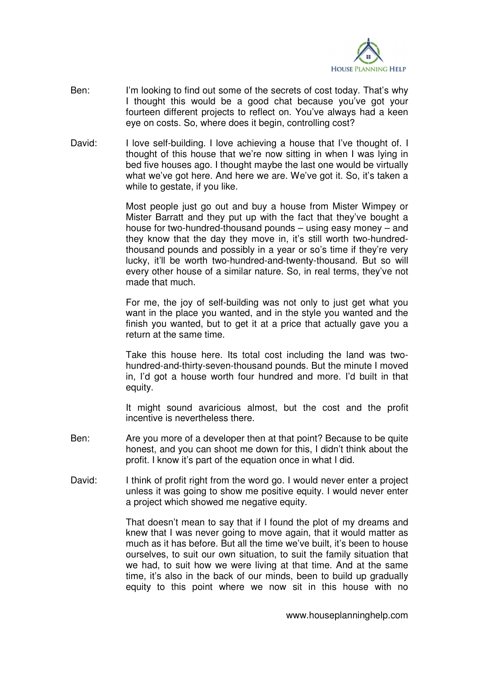

- Ben: I'm looking to find out some of the secrets of cost today. That's why I thought this would be a good chat because you've got your fourteen different projects to reflect on. You've always had a keen eye on costs. So, where does it begin, controlling cost?
- David: I love self-building. I love achieving a house that I've thought of. I thought of this house that we're now sitting in when I was lying in bed five houses ago. I thought maybe the last one would be virtually what we've got here. And here we are. We've got it. So, it's taken a while to gestate, if you like.

 Most people just go out and buy a house from Mister Wimpey or Mister Barratt and they put up with the fact that they've bought a house for two-hundred-thousand pounds – using easy money – and they know that the day they move in, it's still worth two-hundredthousand pounds and possibly in a year or so's time if they're very lucky, it'll be worth two-hundred-and-twenty-thousand. But so will every other house of a similar nature. So, in real terms, they've not made that much.

 For me, the joy of self-building was not only to just get what you want in the place you wanted, and in the style you wanted and the finish you wanted, but to get it at a price that actually gave you a return at the same time.

 Take this house here. Its total cost including the land was twohundred-and-thirty-seven-thousand pounds. But the minute I moved in, I'd got a house worth four hundred and more. I'd built in that equity.

 It might sound avaricious almost, but the cost and the profit incentive is nevertheless there.

- Ben: Are you more of a developer then at that point? Because to be quite honest, and you can shoot me down for this, I didn't think about the profit. I know it's part of the equation once in what I did.
- David: I think of profit right from the word go. I would never enter a project unless it was going to show me positive equity. I would never enter a project which showed me negative equity.

 That doesn't mean to say that if I found the plot of my dreams and knew that I was never going to move again, that it would matter as much as it has before. But all the time we've built, it's been to house ourselves, to suit our own situation, to suit the family situation that we had, to suit how we were living at that time. And at the same time, it's also in the back of our minds, been to build up gradually equity to this point where we now sit in this house with no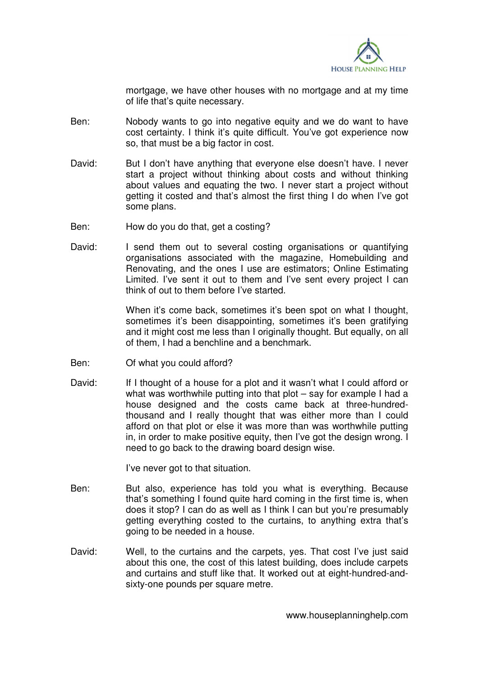

mortgage, we have other houses with no mortgage and at my time of life that's quite necessary.

- Ben: Nobody wants to go into negative equity and we do want to have cost certainty. I think it's quite difficult. You've got experience now so, that must be a big factor in cost.
- David: But I don't have anything that everyone else doesn't have. I never start a project without thinking about costs and without thinking about values and equating the two. I never start a project without getting it costed and that's almost the first thing I do when I've got some plans.
- Ben: How do you do that, get a costing?
- David: I send them out to several costing organisations or quantifying organisations associated with the magazine, Homebuilding and Renovating, and the ones I use are estimators; Online Estimating Limited. I've sent it out to them and I've sent every project I can think of out to them before I've started.

When it's come back, sometimes it's been spot on what I thought, sometimes it's been disappointing, sometimes it's been gratifying and it might cost me less than I originally thought. But equally, on all of them, I had a benchline and a benchmark.

- Ben: Of what you could afford?
- David: If I thought of a house for a plot and it wasn't what I could afford or what was worthwhile putting into that plot – say for example I had a house designed and the costs came back at three-hundredthousand and I really thought that was either more than I could afford on that plot or else it was more than was worthwhile putting in, in order to make positive equity, then I've got the design wrong. I need to go back to the drawing board design wise.

I've never got to that situation.

- Ben: But also, experience has told you what is everything. Because that's something I found quite hard coming in the first time is, when does it stop? I can do as well as I think I can but you're presumably getting everything costed to the curtains, to anything extra that's going to be needed in a house.
- David: Well, to the curtains and the carpets, yes. That cost I've just said about this one, the cost of this latest building, does include carpets and curtains and stuff like that. It worked out at eight-hundred-andsixty-one pounds per square metre.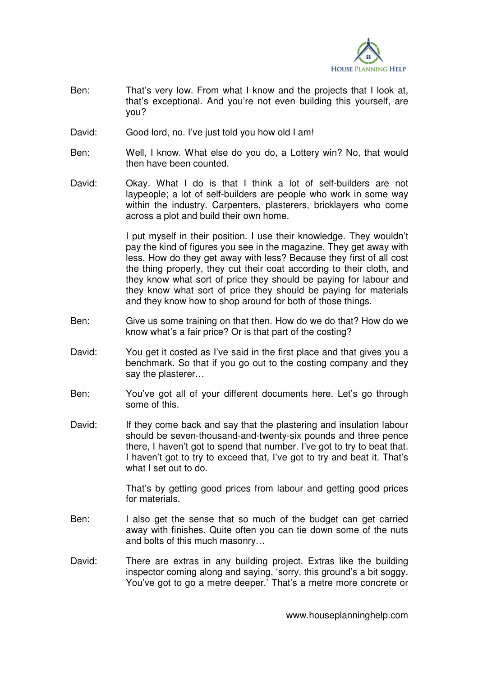

- Ben: That's very low. From what I know and the projects that I look at, that's exceptional. And you're not even building this yourself, are you?
- David: Good lord, no. I've just told you how old I am!
- Ben: Well, I know. What else do you do, a Lottery win? No, that would then have been counted.
- David: Okay. What I do is that I think a lot of self-builders are not laypeople; a lot of self-builders are people who work in some way within the industry. Carpenters, plasterers, bricklayers who come across a plot and build their own home.

 I put myself in their position. I use their knowledge. They wouldn't pay the kind of figures you see in the magazine. They get away with less. How do they get away with less? Because they first of all cost the thing properly, they cut their coat according to their cloth, and they know what sort of price they should be paying for labour and they know what sort of price they should be paying for materials and they know how to shop around for both of those things.

- Ben: Give us some training on that then. How do we do that? How do we know what's a fair price? Or is that part of the costing?
- David: You get it costed as I've said in the first place and that gives you a benchmark. So that if you go out to the costing company and they say the plasterer…
- Ben: You've got all of your different documents here. Let's go through some of this.
- David: If they come back and say that the plastering and insulation labour should be seven-thousand-and-twenty-six pounds and three pence there, I haven't got to spend that number. I've got to try to beat that. I haven't got to try to exceed that, I've got to try and beat it. That's what I set out to do.

 That's by getting good prices from labour and getting good prices for materials.

- Ben: I also get the sense that so much of the budget can get carried away with finishes. Quite often you can tie down some of the nuts and bolts of this much masonry…
- David: There are extras in any building project. Extras like the building inspector coming along and saying, 'sorry, this ground's a bit soggy. You've got to go a metre deeper.' That's a metre more concrete or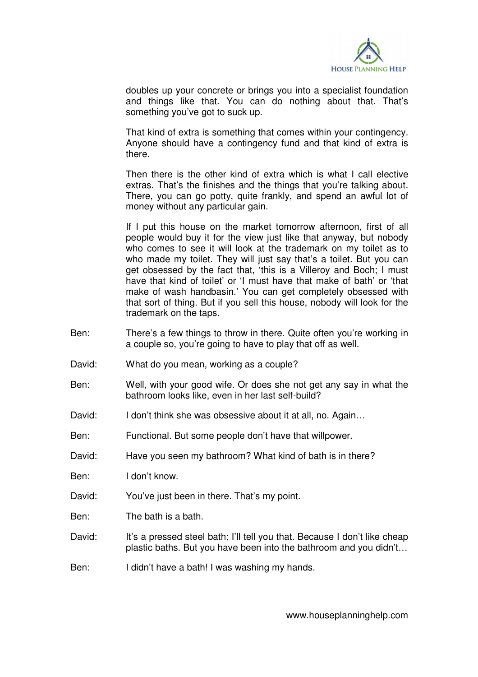

doubles up your concrete or brings you into a specialist foundation and things like that. You can do nothing about that. That's something you've got to suck up.

 That kind of extra is something that comes within your contingency. Anyone should have a contingency fund and that kind of extra is there.

 Then there is the other kind of extra which is what I call elective extras. That's the finishes and the things that you're talking about. There, you can go potty, quite frankly, and spend an awful lot of money without any particular gain.

 If I put this house on the market tomorrow afternoon, first of all people would buy it for the view just like that anyway, but nobody who comes to see it will look at the trademark on my toilet as to who made my toilet. They will just say that's a toilet. But you can get obsessed by the fact that, 'this is a Villeroy and Boch; I must have that kind of toilet' or 'I must have that make of bath' or 'that make of wash handbasin.' You can get completely obsessed with that sort of thing. But if you sell this house, nobody will look for the trademark on the taps.

- Ben: There's a few things to throw in there. Quite often you're working in a couple so, you're going to have to play that off as well.
- David: What do you mean, working as a couple?
- Ben: Well, with your good wife. Or does she not get any say in what the bathroom looks like, even in her last self-build?
- David: I don't think she was obsessive about it at all, no. Again...
- Ben: Functional. But some people don't have that willpower.
- David: Have you seen my bathroom? What kind of bath is in there?

Ben: I don't know.

- David: You've just been in there. That's my point.
- Ben: The bath is a bath.
- David: It's a pressed steel bath; I'll tell you that. Because I don't like cheap plastic baths. But you have been into the bathroom and you didn't…
- Ben: I didn't have a bath! I was washing my hands.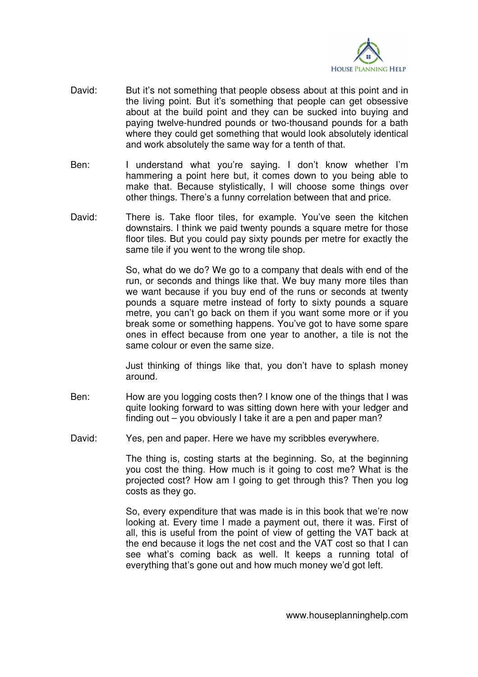

- David: But it's not something that people obsess about at this point and in the living point. But it's something that people can get obsessive about at the build point and they can be sucked into buying and paying twelve-hundred pounds or two-thousand pounds for a bath where they could get something that would look absolutely identical and work absolutely the same way for a tenth of that.
- Ben: I understand what you're saying. I don't know whether I'm hammering a point here but, it comes down to you being able to make that. Because stylistically, I will choose some things over other things. There's a funny correlation between that and price.
- David: There is. Take floor tiles, for example. You've seen the kitchen downstairs. I think we paid twenty pounds a square metre for those floor tiles. But you could pay sixty pounds per metre for exactly the same tile if you went to the wrong tile shop.

 So, what do we do? We go to a company that deals with end of the run, or seconds and things like that. We buy many more tiles than we want because if you buy end of the runs or seconds at twenty pounds a square metre instead of forty to sixty pounds a square metre, you can't go back on them if you want some more or if you break some or something happens. You've got to have some spare ones in effect because from one year to another, a tile is not the same colour or even the same size.

 Just thinking of things like that, you don't have to splash money around.

- Ben: How are you logging costs then? I know one of the things that I was quite looking forward to was sitting down here with your ledger and finding out – you obviously I take it are a pen and paper man?
- David: Yes, pen and paper. Here we have my scribbles everywhere.

 The thing is, costing starts at the beginning. So, at the beginning you cost the thing. How much is it going to cost me? What is the projected cost? How am I going to get through this? Then you log costs as they go.

 So, every expenditure that was made is in this book that we're now looking at. Every time I made a payment out, there it was. First of all, this is useful from the point of view of getting the VAT back at the end because it logs the net cost and the VAT cost so that I can see what's coming back as well. It keeps a running total of everything that's gone out and how much money we'd got left.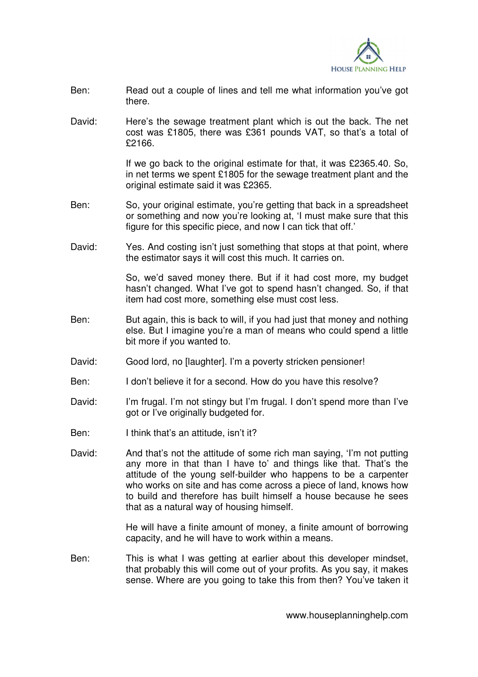

- Ben: Read out a couple of lines and tell me what information you've got there.
- David: Here's the sewage treatment plant which is out the back. The net cost was £1805, there was £361 pounds VAT, so that's a total of £2166.

If we go back to the original estimate for that, it was £2365.40. So, in net terms we spent £1805 for the sewage treatment plant and the original estimate said it was £2365.

- Ben: So, your original estimate, you're getting that back in a spreadsheet or something and now you're looking at, 'I must make sure that this figure for this specific piece, and now I can tick that off.'
- David: Yes. And costing isn't just something that stops at that point, where the estimator says it will cost this much. It carries on.

 So, we'd saved money there. But if it had cost more, my budget hasn't changed. What I've got to spend hasn't changed. So, if that item had cost more, something else must cost less.

- Ben: But again, this is back to will, if you had just that money and nothing else. But I imagine you're a man of means who could spend a little bit more if you wanted to.
- David: Good lord, no [laughter]. I'm a poverty stricken pensioner!
- Ben: I don't believe it for a second. How do you have this resolve?
- David: I'm frugal. I'm not stingy but I'm frugal. I don't spend more than I've got or I've originally budgeted for.
- Ben: I think that's an attitude, isn't it?
- David: And that's not the attitude of some rich man saying, 'I'm not putting any more in that than I have to' and things like that. That's the attitude of the young self-builder who happens to be a carpenter who works on site and has come across a piece of land, knows how to build and therefore has built himself a house because he sees that as a natural way of housing himself.

 He will have a finite amount of money, a finite amount of borrowing capacity, and he will have to work within a means.

Ben: This is what I was getting at earlier about this developer mindset, that probably this will come out of your profits. As you say, it makes sense. Where are you going to take this from then? You've taken it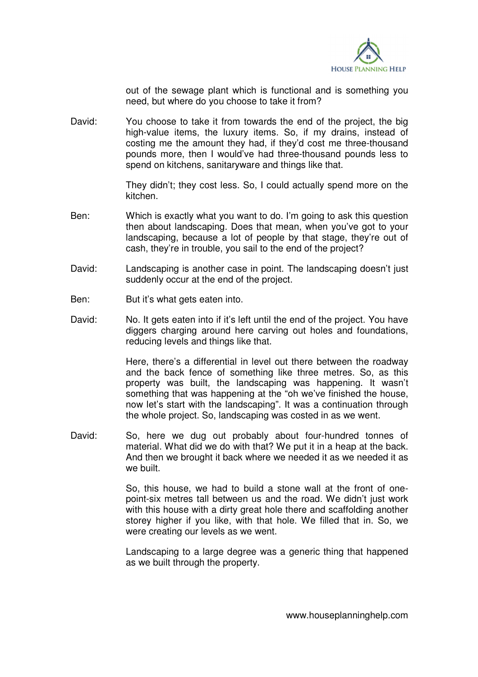

out of the sewage plant which is functional and is something you need, but where do you choose to take it from?

David: You choose to take it from towards the end of the project, the big high-value items, the luxury items. So, if my drains, instead of costing me the amount they had, if they'd cost me three-thousand pounds more, then I would've had three-thousand pounds less to spend on kitchens, sanitaryware and things like that.

> They didn't; they cost less. So, I could actually spend more on the kitchen.

- Ben: Which is exactly what you want to do. I'm going to ask this question then about landscaping. Does that mean, when you've got to your landscaping, because a lot of people by that stage, they're out of cash, they're in trouble, you sail to the end of the project?
- David: Landscaping is another case in point. The landscaping doesn't just suddenly occur at the end of the project.
- Ben: But it's what gets eaten into.
- David: No. It gets eaten into if it's left until the end of the project. You have diggers charging around here carving out holes and foundations, reducing levels and things like that.

 Here, there's a differential in level out there between the roadway and the back fence of something like three metres. So, as this property was built, the landscaping was happening. It wasn't something that was happening at the "oh we've finished the house, now let's start with the landscaping". It was a continuation through the whole project. So, landscaping was costed in as we went.

David: So, here we dug out probably about four-hundred tonnes of material. What did we do with that? We put it in a heap at the back. And then we brought it back where we needed it as we needed it as we built.

> So, this house, we had to build a stone wall at the front of onepoint-six metres tall between us and the road. We didn't just work with this house with a dirty great hole there and scaffolding another storey higher if you like, with that hole. We filled that in. So, we were creating our levels as we went.

> Landscaping to a large degree was a generic thing that happened as we built through the property.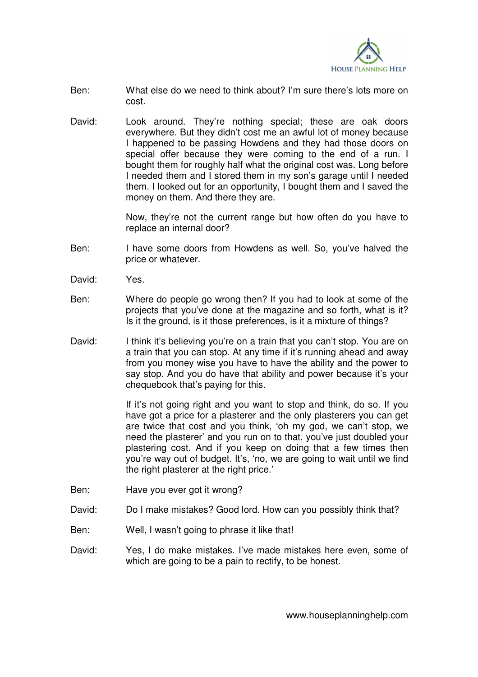

- Ben: What else do we need to think about? I'm sure there's lots more on cost.
- David: Look around. They're nothing special; these are oak doors everywhere. But they didn't cost me an awful lot of money because I happened to be passing Howdens and they had those doors on special offer because they were coming to the end of a run. I bought them for roughly half what the original cost was. Long before I needed them and I stored them in my son's garage until I needed them. I looked out for an opportunity, I bought them and I saved the money on them. And there they are.

 Now, they're not the current range but how often do you have to replace an internal door?

- Ben: I have some doors from Howdens as well. So, you've halved the price or whatever.
- David: Yes.
- Ben: Where do people go wrong then? If you had to look at some of the projects that you've done at the magazine and so forth, what is it? Is it the ground, is it those preferences, is it a mixture of things?
- David: I think it's believing you're on a train that you can't stop. You are on a train that you can stop. At any time if it's running ahead and away from you money wise you have to have the ability and the power to say stop. And you do have that ability and power because it's your chequebook that's paying for this.

 If it's not going right and you want to stop and think, do so. If you have got a price for a plasterer and the only plasterers you can get are twice that cost and you think, 'oh my god, we can't stop, we need the plasterer' and you run on to that, you've just doubled your plastering cost. And if you keep on doing that a few times then you're way out of budget. It's, 'no, we are going to wait until we find the right plasterer at the right price.'

- Ben: Have you ever got it wrong?
- David: Do I make mistakes? Good lord. How can you possibly think that?
- Ben: Well, I wasn't going to phrase it like that!
- David: Yes, I do make mistakes. I've made mistakes here even, some of which are going to be a pain to rectify, to be honest.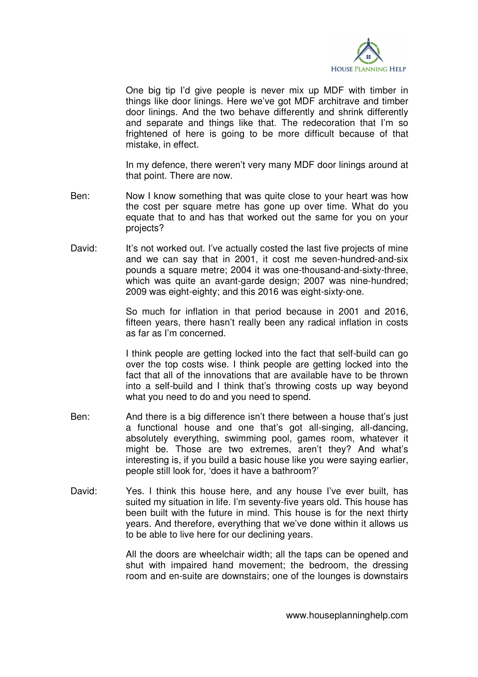

 One big tip I'd give people is never mix up MDF with timber in things like door linings. Here we've got MDF architrave and timber door linings. And the two behave differently and shrink differently and separate and things like that. The redecoration that I'm so frightened of here is going to be more difficult because of that mistake, in effect.

 In my defence, there weren't very many MDF door linings around at that point. There are now.

- Ben: Now I know something that was quite close to your heart was how the cost per square metre has gone up over time. What do you equate that to and has that worked out the same for you on your projects?
- David: It's not worked out. I've actually costed the last five projects of mine and we can say that in 2001, it cost me seven-hundred-and-six pounds a square metre; 2004 it was one-thousand-and-sixty-three, which was quite an avant-garde design; 2007 was nine-hundred; 2009 was eight-eighty; and this 2016 was eight-sixty-one.

 So much for inflation in that period because in 2001 and 2016, fifteen years, there hasn't really been any radical inflation in costs as far as I'm concerned.

 I think people are getting locked into the fact that self-build can go over the top costs wise. I think people are getting locked into the fact that all of the innovations that are available have to be thrown into a self-build and I think that's throwing costs up way beyond what you need to do and you need to spend.

- Ben: And there is a big difference isn't there between a house that's just a functional house and one that's got all-singing, all-dancing, absolutely everything, swimming pool, games room, whatever it might be. Those are two extremes, aren't they? And what's interesting is, if you build a basic house like you were saying earlier, people still look for, 'does it have a bathroom?'
- David: Yes. I think this house here, and any house I've ever built, has suited my situation in life. I'm seventy-five years old. This house has been built with the future in mind. This house is for the next thirty years. And therefore, everything that we've done within it allows us to be able to live here for our declining years.

 All the doors are wheelchair width; all the taps can be opened and shut with impaired hand movement; the bedroom, the dressing room and en-suite are downstairs; one of the lounges is downstairs